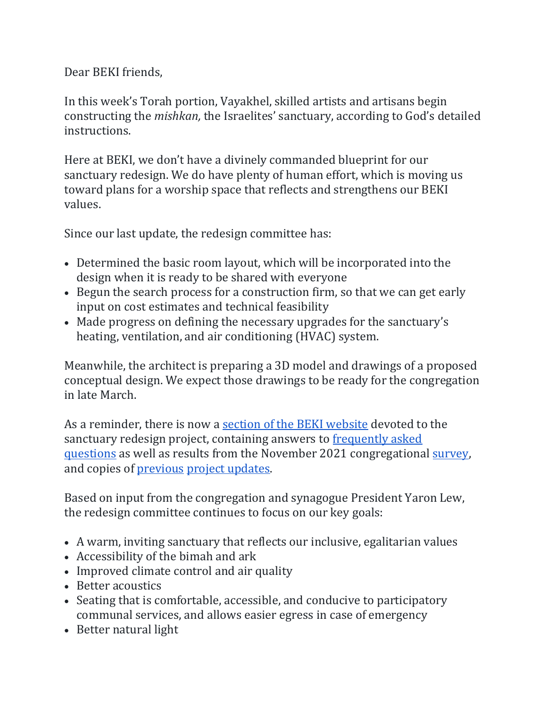## Dear BEKI friends,

In this week's Torah portion, Vayakhel, skilled artists and artisans begin constructing the *mishkan,* the Israelites' sanctuary, according to God's detailed instructions.

Here at BEKI, we don't have a divinely commanded blueprint for our sanctuary redesign. We do have plenty of human effort, which is moving us toward plans for a worship space that reflects and strengthens our BEKI values.

Since our last update, the redesign committee has:

- Determined the basic room layout, which will be incorporated into the design when it is ready to be shared with everyone
- Begun the search process for a construction firm, so that we can get early input on cost estimates and technical feasibility
- Made progress on defining the necessary upgrades for the sanctuary's heating, ventilation, and air conditioning (HVAC) system.

Meanwhile, the architect is preparing a 3D model and drawings of a proposed conceptual design. We expect those drawings to be ready for the congregation in late March.

As a reminder, there is now a [section](https://www.beki.org/sanctuary-redesign/) [of the BEKI website](https://www.beki.org/sanctuary-redesign/) devoted to the sanctuary redesign project, containing answers to [frequently asked](https://www.beki.org/frequently-asked-questions/)  [questions](https://www.beki.org/frequently-asked-questions/) as well as results from the November 2021 congregationa[l](https://www.beki.org/wp-content/uploads/Summary-of-BEKI-Sanctuary-Redesign-Survey-12.12.2021.pdf) [survey,](https://www.beki.org/wp-content/uploads/Summary-of-BEKI-Sanctuary-Redesign-Survey-12.12.2021.pdf) and copies o[f](https://www.beki.org/project-updates/) [previous](https://www.beki.org/project-updates/) [project updates.](https://www.beki.org/project-updates/)

Based on input from the congregation and synagogue President Yaron Lew, the redesign committee continues to focus on our key goals:

- A warm, inviting sanctuary that reflects our inclusive, egalitarian values
- Accessibility of the bimah and ark
- Improved climate control and air quality
- Better acoustics
- Seating that is comfortable, accessible, and conducive to participatory communal services, and allows easier egress in case of emergency
- Better natural light